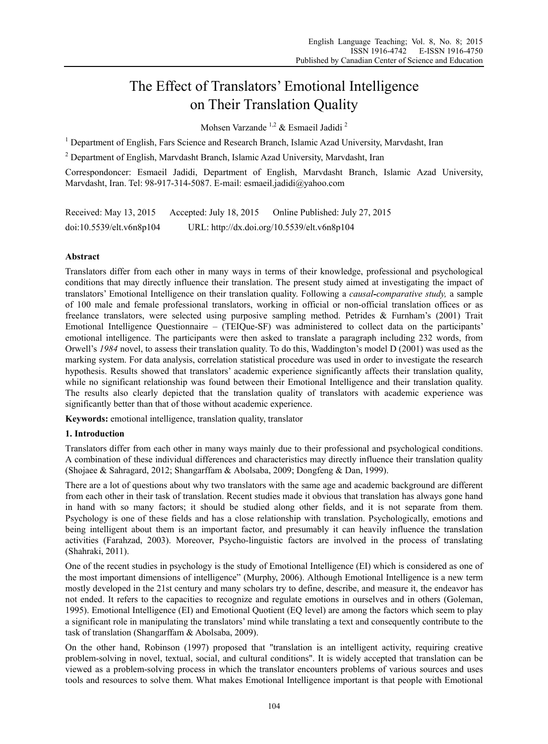# The Effect of Translators' Emotional Intelligence on Their Translation Quality

Mohsen Varzande 1,2 & Esmaeil Jadidi 2

<sup>1</sup> Department of English, Fars Science and Research Branch, Islamic Azad University, Marvdasht, Iran

<sup>2</sup> Department of English, Marvdasht Branch, Islamic Azad University, Marvdasht, Iran

Correspondoncer: Esmaeil Jadidi, Department of English, Marvdasht Branch, Islamic Azad University, Marvdasht, Iran. Tel: 98-917-314-5087. E-mail: esmaeil.jadidi@yahoo.com

Received: May 13, 2015 Accepted: July 18, 2015 Online Published: July 27, 2015 doi:10.5539/elt.v6n8p104 URL: http://dx.doi.org/10.5539/elt.v6n8p104

# **Abstract**

Translators differ from each other in many ways in terms of their knowledge, professional and psychological conditions that may directly influence their translation. The present study aimed at investigating the impact of translators' Emotional Intelligence on their translation quality. Following a *causal-comparative study,* a sample of 100 male and female professional translators, working in official or non-official translation offices or as freelance translators, were selected using purposive sampling method. Petrides & Furnham's (2001) Trait Emotional Intelligence Questionnaire – (TEIQue-SF) was administered to collect data on the participants' emotional intelligence. The participants were then asked to translate a paragraph including 232 words, from Orwell's *1984* novel, to assess their translation quality. To do this, Waddington's model D (2001) was used as the marking system. For data analysis, correlation statistical procedure was used in order to investigate the research hypothesis. Results showed that translators' academic experience significantly affects their translation quality, while no significant relationship was found between their Emotional Intelligence and their translation quality. The results also clearly depicted that the translation quality of translators with academic experience was significantly better than that of those without academic experience.

**Keywords:** emotional intelligence, translation quality, translator

# **1. Introduction**

Translators differ from each other in many ways mainly due to their professional and psychological conditions. A combination of these individual differences and characteristics may directly influence their translation quality (Shojaee & Sahragard, 2012; Shangarffam & Abolsaba, 2009; Dongfeng & Dan, 1999).

There are a lot of questions about why two translators with the same age and academic background are different from each other in their task of translation. Recent studies made it obvious that translation has always gone hand in hand with so many factors; it should be studied along other fields, and it is not separate from them. Psychology is one of these fields and has a close relationship with translation. Psychologically, emotions and being intelligent about them is an important factor, and presumably it can heavily influence the translation activities (Farahzad, 2003). Moreover, Psycho-linguistic factors are involved in the process of translating (Shahraki, 2011).

One of the recent studies in psychology is the study of Emotional Intelligence (EI) which is considered as one of the most important dimensions of intelligence" (Murphy, 2006). Although Emotional Intelligence is a new term mostly developed in the 21st century and many scholars try to define, describe, and measure it, the endeavor has not ended. It refers to the capacities to recognize and regulate emotions in ourselves and in others (Goleman, 1995). Emotional Intelligence (EI) and Emotional Quotient (EQ level) are among the factors which seem to play a significant role in manipulating the translators' mind while translating a text and consequently contribute to the task of translation (Shangarffam & Abolsaba, 2009).

On the other hand, Robinson (1997) proposed that "translation is an intelligent activity, requiring creative problem-solving in novel, textual, social, and cultural conditions". It is widely accepted that translation can be viewed as a problem-solving process in which the translator encounters problems of various sources and uses tools and resources to solve them. What makes Emotional Intelligence important is that people with Emotional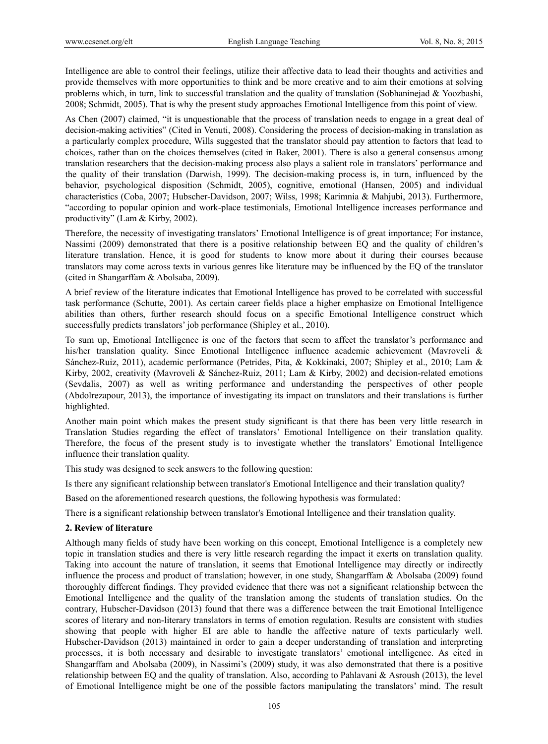Intelligence are able to control their feelings, utilize their affective data to lead their thoughts and activities and provide themselves with more opportunities to think and be more creative and to aim their emotions at solving problems which, in turn, link to successful translation and the quality of translation (Sobhaninejad & Yoozbashi, 2008; Schmidt, 2005). That is why the present study approaches Emotional Intelligence from this point of view.

As Chen (2007) claimed, "it is unquestionable that the process of translation needs to engage in a great deal of decision-making activities" (Cited in Venuti, 2008). Considering the process of decision-making in translation as a particularly complex procedure, Wills suggested that the translator should pay attention to factors that lead to choices, rather than on the choices themselves (cited in Baker, 2001). There is also a general consensus among translation researchers that the decision-making process also plays a salient role in translators' performance and the quality of their translation (Darwish, 1999). The decision-making process is, in turn, influenced by the behavior, psychological disposition (Schmidt, 2005), cognitive, emotional (Hansen, 2005) and individual characteristics (Coba, 2007; Hubscher-Davidson, 2007; Wilss, 1998; Karimnia & Mahjubi, 2013). Furthermore, "according to popular opinion and work-place testimonials, Emotional Intelligence increases performance and productivity" (Lam & Kirby, 2002).

Therefore, the necessity of investigating translators' Emotional Intelligence is of great importance; For instance, Nassimi (2009) demonstrated that there is a positive relationship between EQ and the quality of children's literature translation. Hence, it is good for students to know more about it during their courses because translators may come across texts in various genres like literature may be influenced by the EQ of the translator (cited in Shangarffam & Abolsaba, 2009).

A brief review of the literature indicates that Emotional Intelligence has proved to be correlated with successful task performance (Schutte, 2001). As certain career fields place a higher emphasize on Emotional Intelligence abilities than others, further research should focus on a specific Emotional Intelligence construct which successfully predicts translators' job performance (Shipley et al., 2010).

To sum up, Emotional Intelligence is one of the factors that seem to affect the translator's performance and his/her translation quality. Since Emotional Intelligence influence academic achievement (Mavroveli & Sánchez-Ruiz, 2011), academic performance (Petrides, Pita, & Kokkinaki, 2007; Shipley et al., 2010; Lam & Kirby, 2002, creativity (Mavroveli & Sánchez-Ruiz, 2011; Lam & Kirby, 2002) and decision-related emotions (Sevdalis, 2007) as well as writing performance and understanding the perspectives of other people (Abdolrezapour, 2013), the importance of investigating its impact on translators and their translations is further highlighted.

Another main point which makes the present study significant is that there has been very little research in Translation Studies regarding the effect of translators' Emotional Intelligence on their translation quality. Therefore, the focus of the present study is to investigate whether the translators' Emotional Intelligence influence their translation quality.

This study was designed to seek answers to the following question:

Is there any significant relationship between translator's Emotional Intelligence and their translation quality?

Based on the aforementioned research questions, the following hypothesis was formulated:

There is a significant relationship between translator's Emotional Intelligence and their translation quality.

# **2. Review of literature**

Although many fields of study have been working on this concept, Emotional Intelligence is a completely new topic in translation studies and there is very little research regarding the impact it exerts on translation quality. Taking into account the nature of translation, it seems that Emotional Intelligence may directly or indirectly influence the process and product of translation; however, in one study, Shangarffam & Abolsaba (2009) found thoroughly different findings. They provided evidence that there was not a significant relationship between the Emotional Intelligence and the quality of the translation among the students of translation studies. On the contrary, Hubscher-Davidson (2013) found that there was a difference between the trait Emotional Intelligence scores of literary and non-literary translators in terms of emotion regulation. Results are consistent with studies showing that people with higher EI are able to handle the affective nature of texts particularly well. Hubscher-Davidson (2013) maintained in order to gain a deeper understanding of translation and interpreting processes, it is both necessary and desirable to investigate translators' emotional intelligence. As cited in Shangarffam and Abolsaba (2009), in Nassimi's (2009) study, it was also demonstrated that there is a positive relationship between EQ and the quality of translation. Also, according to Pahlavani & Asroush (2013), the level of Emotional Intelligence might be one of the possible factors manipulating the translators' mind. The result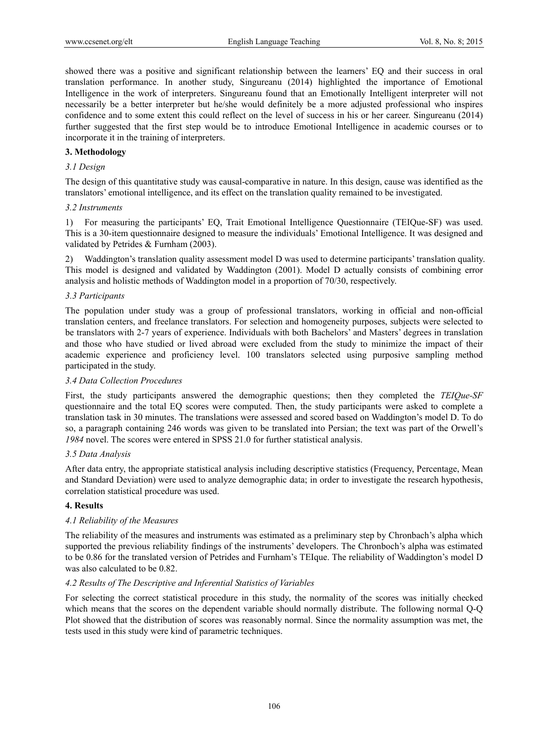showed there was a positive and significant relationship between the learners' EQ and their success in oral translation performance. In another study, Singureanu (2014) highlighted the importance of Emotional Intelligence in the work of interpreters. Singureanu found that an Emotionally Intelligent interpreter will not necessarily be a better interpreter but he/she would definitely be a more adjusted professional who inspires confidence and to some extent this could reflect on the level of success in his or her career. Singureanu (2014) further suggested that the first step would be to introduce Emotional Intelligence in academic courses or to incorporate it in the training of interpreters.

#### **3. Methodology**

#### *3.1 Design*

The design of this quantitative study was causal-comparative in nature. In this design, cause was identified as the translators' emotional intelligence, and its effect on the translation quality remained to be investigated.

#### *3.2 Instruments*

1) For measuring the participants' EQ, Trait Emotional Intelligence Questionnaire (TEIQue-SF) was used. This is a 30-item questionnaire designed to measure the individuals' Emotional Intelligence. It was designed and validated by Petrides & Furnham (2003).

2) Waddington's translation quality assessment model D was used to determine participants' translation quality. This model is designed and validated by Waddington (2001). Model D actually consists of combining error analysis and holistic methods of Waddington model in a proportion of 70/30, respectively.

# *3.3 Participants*

The population under study was a group of professional translators, working in official and non-official translation centers, and freelance translators. For selection and homogeneity purposes, subjects were selected to be translators with 2-7 years of experience. Individuals with both Bachelors' and Masters' degrees in translation and those who have studied or lived abroad were excluded from the study to minimize the impact of their academic experience and proficiency level. 100 translators selected using purposive sampling method participated in the study.

#### *3.4 Data Collection Procedures*

First, the study participants answered the demographic questions; then they completed the *TEIQue-SF*  questionnaire and the total EQ scores were computed. Then, the study participants were asked to complete a translation task in 30 minutes. The translations were assessed and scored based on Waddington's model D. To do so, a paragraph containing 246 words was given to be translated into Persian; the text was part of the Orwell's *1984* novel. The scores were entered in SPSS 21.0 for further statistical analysis.

# *3.5 Data Analysis*

After data entry, the appropriate statistical analysis including descriptive statistics (Frequency, Percentage, Mean and Standard Deviation) were used to analyze demographic data; in order to investigate the research hypothesis, correlation statistical procedure was used.

#### **4. Results**

# *4.1 Reliability of the Measures*

The reliability of the measures and instruments was estimated as a preliminary step by Chronbach's alpha which supported the previous reliability findings of the instruments' developers. The Chronboch's alpha was estimated to be 0.86 for the translated version of Petrides and Furnham's TEIque. The reliability of Waddington's model D was also calculated to be 0.82.

# *4.2 Results of The Descriptive and Inferential Statistics of Variables*

For selecting the correct statistical procedure in this study, the normality of the scores was initially checked which means that the scores on the dependent variable should normally distribute. The following normal Q-Q Plot showed that the distribution of scores was reasonably normal. Since the normality assumption was met, the tests used in this study were kind of parametric techniques.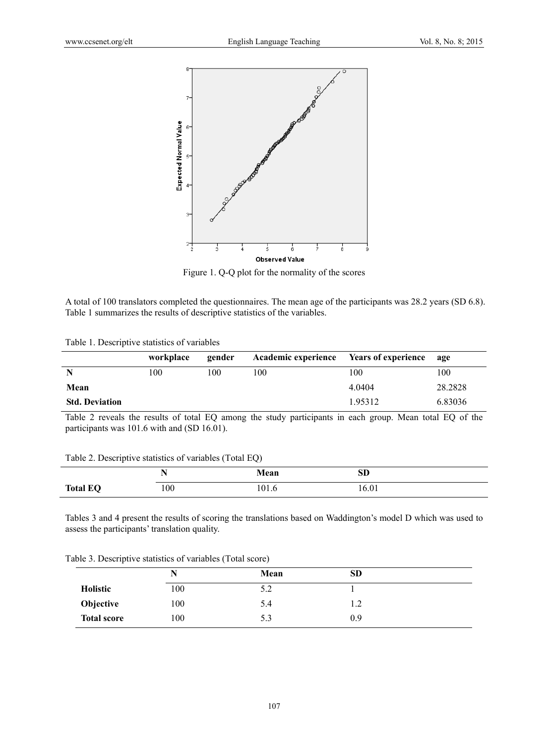

Figure 1. Q-Q plot for the normality of the scores

A total of 100 translators completed the questionnaires. The mean age of the participants was 28.2 years (SD 6.8). Table 1 summarizes the results of descriptive statistics of the variables.

| Table 1. Descriptive statistics of variables |  |  |  |  |
|----------------------------------------------|--|--|--|--|
|----------------------------------------------|--|--|--|--|

|                       | workplace | gender | Academic experience | Years of experience age |         |
|-----------------------|-----------|--------|---------------------|-------------------------|---------|
| N                     | 100       | 100    | 100                 | 100                     | 100     |
| Mean                  |           |        |                     | 4.0404                  | 28.2828 |
| <b>Std. Deviation</b> |           |        |                     | 1.95312                 | 6.83036 |

Table 2 reveals the results of total EQ among the study participants in each group. Mean total EQ of the participants was 101.6 with and (SD 16.01).

|                 | $\blacksquare$<br>. . | Mean  | <b>SD</b> |
|-----------------|-----------------------|-------|-----------|
| <b>Total EQ</b> | 100                   | 101.6 | 16.01     |

Table 2. Descriptive statistics of variables (Total EQ)

Tables 3 and 4 present the results of scoring the translations based on Waddington's model D which was used to assess the participants' translation quality.

|  |  | Table 3. Descriptive statistics of variables (Total score) |
|--|--|------------------------------------------------------------|
|  |  |                                                            |

| N   | Mean | <b>SD</b> |
|-----|------|-----------|
| 100 | 5.2  |           |
| 100 | 5.4  | 1.2       |
| 100 | 5.3  | 0.9       |
|     |      |           |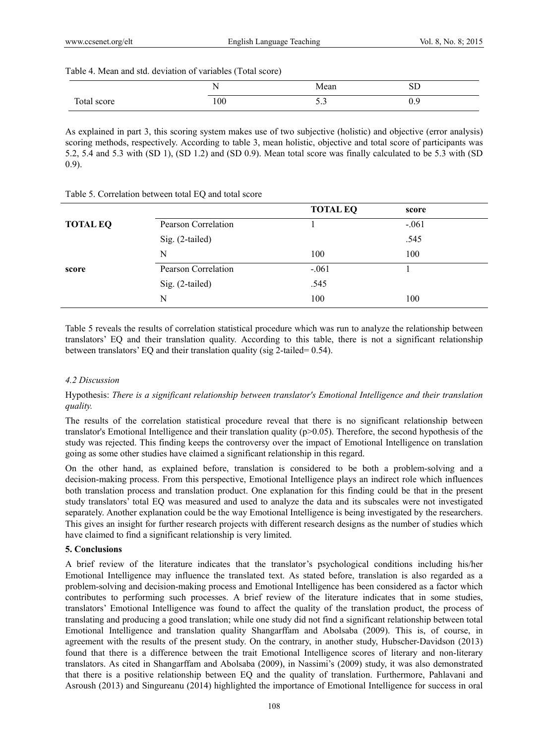#### Table 4. Mean and std. deviation of variables (Total score)

|             | - -<br>. . | Mean | $\alpha$ r<br>עט |
|-------------|------------|------|------------------|
| Total score | 100        | ັ∴   | ∪.∍              |

As explained in part 3, this scoring system makes use of two subjective (holistic) and objective (error analysis) scoring methods, respectively. According to table 3, mean holistic, objective and total score of participants was 5.2, 5.4 and 5.3 with (SD 1), (SD 1.2) and (SD 0.9). Mean total score was finally calculated to be 5.3 with (SD 0.9).

|                 |                     | <b>TOTAL EQ</b> | score   |  |
|-----------------|---------------------|-----------------|---------|--|
| <b>TOTAL EQ</b> | Pearson Correlation |                 | $-.061$ |  |
|                 | Sig. $(2$ -tailed)  |                 | .545    |  |
|                 | N                   | 100             | 100     |  |
| score           | Pearson Correlation | $-.061$         |         |  |
|                 | $Sig. (2-tailed)$   | .545            |         |  |
|                 | N                   | 100             | 100     |  |
|                 |                     |                 |         |  |

#### Table 5. Correlation between total EQ and total score

Table 5 reveals the results of correlation statistical procedure which was run to analyze the relationship between translators' EQ and their translation quality. According to this table, there is not a significant relationship between translators' EQ and their translation quality (sig 2-tailed= 0.54).

# *4.2 Discussion*

# Hypothesis: *There is a significant relationship between translator's Emotional Intelligence and their translation quality.*

The results of the correlation statistical procedure reveal that there is no significant relationship between translator's Emotional Intelligence and their translation quality (p>0.05). Therefore, the second hypothesis of the study was rejected. This finding keeps the controversy over the impact of Emotional Intelligence on translation going as some other studies have claimed a significant relationship in this regard.

On the other hand, as explained before, translation is considered to be both a problem-solving and a decision-making process. From this perspective, Emotional Intelligence plays an indirect role which influences both translation process and translation product. One explanation for this finding could be that in the present study translators' total EQ was measured and used to analyze the data and its subscales were not investigated separately. Another explanation could be the way Emotional Intelligence is being investigated by the researchers. This gives an insight for further research projects with different research designs as the number of studies which have claimed to find a significant relationship is very limited.

#### **5. Conclusions**

A brief review of the literature indicates that the translator's psychological conditions including his/her Emotional Intelligence may influence the translated text. As stated before, translation is also regarded as a problem-solving and decision-making process and Emotional Intelligence has been considered as a factor which contributes to performing such processes. A brief review of the literature indicates that in some studies, translators' Emotional Intelligence was found to affect the quality of the translation product, the process of translating and producing a good translation; while one study did not find a significant relationship between total Emotional Intelligence and translation quality Shangarffam and Abolsaba (2009). This is, of course, in agreement with the results of the present study. On the contrary, in another study, Hubscher-Davidson (2013) found that there is a difference between the trait Emotional Intelligence scores of literary and non-literary translators. As cited in Shangarffam and Abolsaba (2009), in Nassimi's (2009) study, it was also demonstrated that there is a positive relationship between EQ and the quality of translation. Furthermore, Pahlavani and Asroush (2013) and Singureanu (2014) highlighted the importance of Emotional Intelligence for success in oral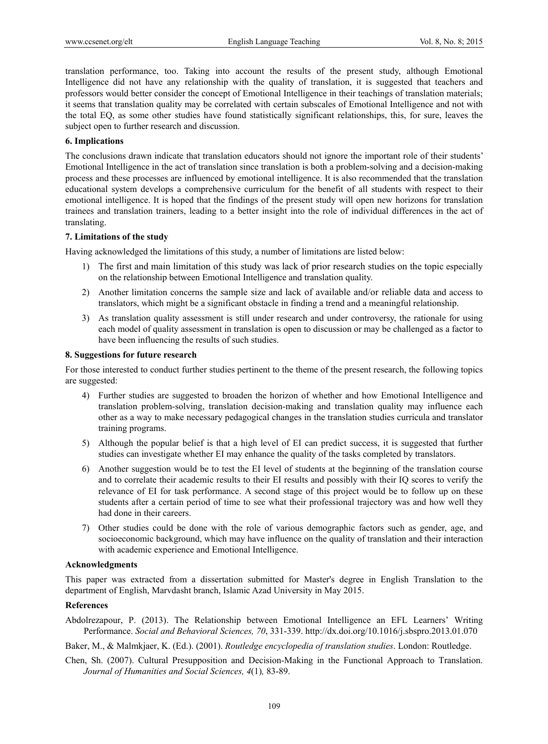translation performance, too. Taking into account the results of the present study, although Emotional Intelligence did not have any relationship with the quality of translation, it is suggested that teachers and professors would better consider the concept of Emotional Intelligence in their teachings of translation materials; it seems that translation quality may be correlated with certain subscales of Emotional Intelligence and not with the total EQ, as some other studies have found statistically significant relationships, this, for sure, leaves the subject open to further research and discussion.

# **6. Implications**

The conclusions drawn indicate that translation educators should not ignore the important role of their students' Emotional Intelligence in the act of translation since translation is both a problem-solving and a decision-making process and these processes are influenced by emotional intelligence. It is also recommended that the translation educational system develops a comprehensive curriculum for the benefit of all students with respect to their emotional intelligence. It is hoped that the findings of the present study will open new horizons for translation trainees and translation trainers, leading to a better insight into the role of individual differences in the act of translating.

# **7. Limitations of the study**

Having acknowledged the limitations of this study, a number of limitations are listed below:

- 1) The first and main limitation of this study was lack of prior research studies on the topic especially on the relationship between Emotional Intelligence and translation quality.
- 2) Another limitation concerns the sample size and lack of available and/or reliable data and access to translators, which might be a significant obstacle in finding a trend and a meaningful relationship.
- 3) As translation quality assessment is still under research and under controversy, the rationale for using each model of quality assessment in translation is open to discussion or may be challenged as a factor to have been influencing the results of such studies.

#### **8. Suggestions for future research**

For those interested to conduct further studies pertinent to the theme of the present research, the following topics are suggested:

- 4) Further studies are suggested to broaden the horizon of whether and how Emotional Intelligence and translation problem-solving, translation decision-making and translation quality may influence each other as a way to make necessary pedagogical changes in the translation studies curricula and translator training programs.
- 5) Although the popular belief is that a high level of EI can predict success, it is suggested that further studies can investigate whether EI may enhance the quality of the tasks completed by translators.
- 6) Another suggestion would be to test the EI level of students at the beginning of the translation course and to correlate their academic results to their EI results and possibly with their IQ scores to verify the relevance of EI for task performance. A second stage of this project would be to follow up on these students after a certain period of time to see what their professional trajectory was and how well they had done in their careers.
- 7) Other studies could be done with the role of various demographic factors such as gender, age, and socioeconomic background, which may have influence on the quality of translation and their interaction with academic experience and Emotional Intelligence.

# **Acknowledgments**

This paper was extracted from a dissertation submitted for Master's degree in English Translation to the department of English, Marvdasht branch, Islamic Azad University in May 2015.

# **References**

Abdolrezapour, P. (2013). The Relationship between Emotional Intelligence an EFL Learners' Writing Performance. *Social and Behavioral Sciences, 70*, 331-339. http://dx.doi.org/10.1016/j.sbspro.2013.01.070

Baker, M., & Malmkjaer, K. (Ed.). (2001). *Routledge encyclopedia of translation studies*. London: Routledge.

Chen, Sh. (2007). Cultural Presupposition and Decision-Making in the Functional Approach to Translation. *Journal of Humanities and Social Sciences, 4*(1)*,* 83-89.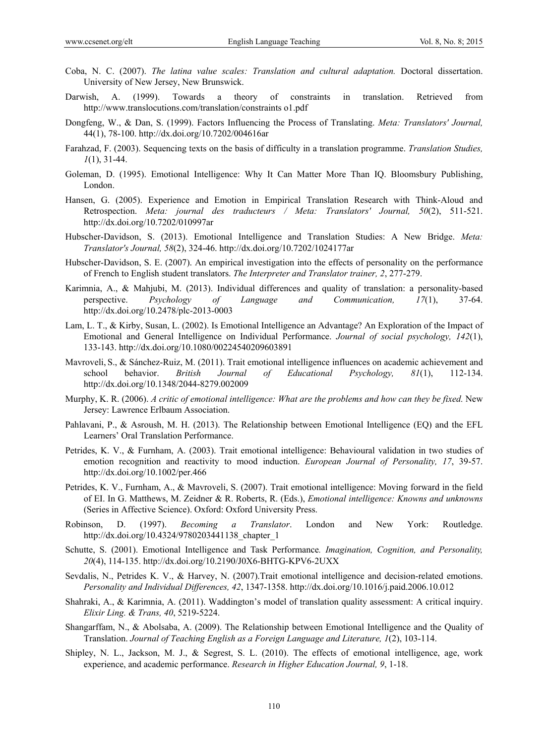- Coba, N. C. (2007). *The latina value scales: Translation and cultural adaptation.* Doctoral dissertation. University of New Jersey, New Brunswick.
- Darwish, A. (1999). Towards a theory of constraints in translation. Retrieved from http://www.translocutions.com/translation/constraints o1.pdf
- Dongfeng, W., & Dan, S. (1999). Factors Influencing the Process of Translating. *Meta: Translators' Journal,* 44(1), 78-100. http://dx.doi.org/10.7202/004616ar
- Farahzad, F. (2003). Sequencing texts on the basis of difficulty in a translation programme. *Translation Studies, 1*(1), 31-44.
- Goleman, D. (1995). Emotional Intelligence: Why It Can Matter More Than IQ. Bloomsbury Publishing, London.
- Hansen, G. (2005). Experience and Emotion in Empirical Translation Research with Think-Aloud and Retrospection. *Meta: journal des traducteurs / Meta: Translators' Journal, 50*(2), 511-521. http://dx.doi.org/10.7202/010997ar
- Hubscher-Davidson, S. (2013). Emotional Intelligence and Translation Studies: A New Bridge. *Meta: Translator's Journal, 58*(2), 324-46. http://dx.doi.org/10.7202/1024177ar
- Hubscher-Davidson, S. E. (2007). An empirical investigation into the effects of personality on the performance of French to English student translators. *The Interpreter and Translator trainer, 2*, 277-279.
- Karimnia, A., & Mahjubi, M. (2013). Individual differences and quality of translation: a personality-based perspective. *Psychology of Language and Communication, 17*(1), 37-64. http://dx.doi.org/10.2478/plc-2013-0003
- Lam, L. T., & Kirby, Susan, L. (2002). Is Emotional Intelligence an Advantage? An Exploration of the Impact of Emotional and General Intelligence on Individual Performance. *Journal of social psychology, 142*(1), 133-143. http://dx.doi.org/10.1080/00224540209603891
- Mavroveli, S., & Sánchez-Ruiz, M. (2011). Trait emotional intelligence influences on academic achievement and school behavior. *British Journal of Educational Psychology, 81*(1), 112-134. http://dx.doi.org/10.1348/2044-8279.002009
- Murphy, K. R. (2006). *A critic of emotional intelligence: What are the problems and how can they be fixed.* New Jersey: Lawrence Erlbaum Association.
- Pahlavani, P., & Asroush, M. H. (2013). The Relationship between Emotional Intelligence (EQ) and the EFL Learners' Oral Translation Performance.
- Petrides, K. V., & Furnham, A. (2003). Trait emotional intelligence: Behavioural validation in two studies of emotion recognition and reactivity to mood induction. *European Journal of Personality, 17*, 39-57. http://dx.doi.org/10.1002/per.466
- Petrides, K. V., Furnham, A., & Mavroveli, S. (2007). Trait emotional intelligence: Moving forward in the field of EI. In G. Matthews, M. Zeidner & R. Roberts, R. (Eds.), *Emotional intelligence: Knowns and unknowns* (Series in Affective Science). Oxford: Oxford University Press.
- Robinson, D. (1997). *Becoming a Translator*. London and New York: Routledge. http://dx.doi.org/10.4324/9780203441138\_chapter\_1
- Schutte, S. (2001). Emotional Intelligence and Task Performance*. Imagination, Cognition, and Personality, 20*(4), 114-135. http://dx.doi.org/10.2190/J0X6-BHTG-KPV6-2UXX
- Sevdalis, N., Petrides K. V., & Harvey, N. (2007).Trait emotional intelligence and decision-related emotions. *Personality and Individual Differences, 42*, 1347-1358. http://dx.doi.org/10.1016/j.paid.2006.10.012
- Shahraki, A., & Karimnia, A. (2011). Waddington's model of translation quality assessment: A critical inquiry. *Elixir Ling. & Trans, 40*, 5219-5224.
- Shangarffam, N., & Abolsaba, A. (2009). The Relationship between Emotional Intelligence and the Quality of Translation. *Journal of Teaching English as a Foreign Language and Literature, 1*(2), 103-114.
- Shipley, N. L., Jackson, M. J., & Segrest, S. L. (2010). The effects of emotional intelligence, age, work experience, and academic performance. *Research in Higher Education Journal, 9*, 1-18.